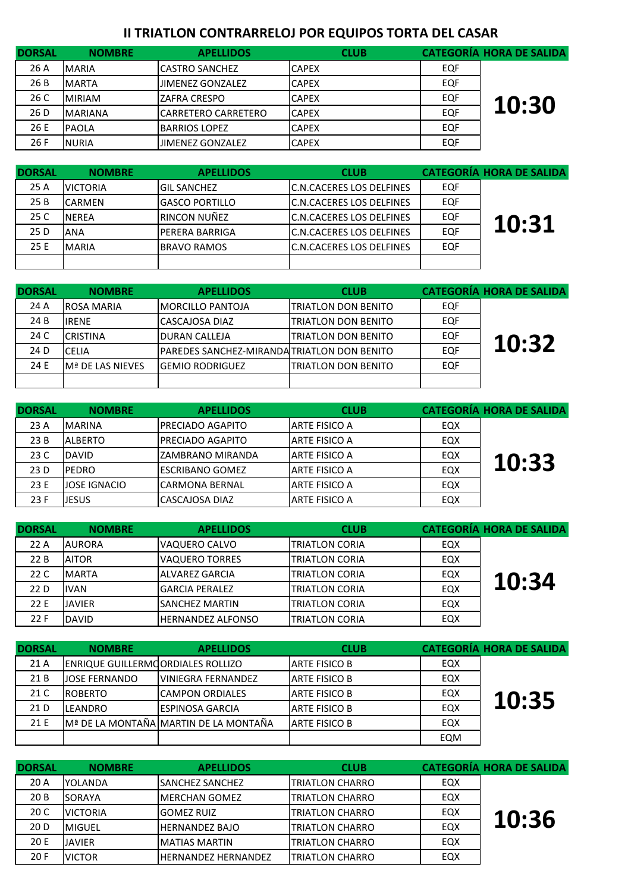## **II TRIATLON CONTRARRELOJ POR EQUIPOS TORTA DEL CASAR**

| <b>DORSAL</b> | <b>NOMBRE</b>  | <b>APELLIDOS</b>           | <b>CLUB</b>  |     | <b>CATEGORÍA HORA DE SALIDA</b> |
|---------------|----------------|----------------------------|--------------|-----|---------------------------------|
| 26 A          | <b>MARIA</b>   | <b>CASTRO SANCHEZ</b>      | <b>CAPEX</b> | EQF |                                 |
| 26 B          | <b>MARTA</b>   | JIMENEZ GONZALEZ           | <b>CAPEX</b> | EQF |                                 |
| 26 C          | <b>MIRIAM</b>  | <b>ZAFRA CRESPO</b>        | <b>CAPEX</b> | EQF | 10:30                           |
| 26 D          | <b>MARIANA</b> | <b>CARRETERO CARRETERO</b> | <b>CAPEX</b> | EQF |                                 |
| 26 E          | <b>PAOLA</b>   | <b>BARRIOS LOPEZ</b>       | <b>CAPEX</b> | EQF |                                 |
| 26 F          | <b>NURIA</b>   | <b>JIMENEZ GONZALEZ</b>    | <b>CAPEX</b> | EQF |                                 |

| <b>DORSAL</b> | <b>NOMBRE</b>   | <b>APELLIDOS</b>       | <b>CLUB</b>                      |     | <b>CATEGORÍA HORA DE SALIDA</b> |
|---------------|-----------------|------------------------|----------------------------------|-----|---------------------------------|
| 25 A          | <b>VICTORIA</b> | <b>IGIL SANCHEZ</b>    | <b>IC.N.CACERES LOS DELFINES</b> | EQF |                                 |
| 25 B          | <b>ICARMEN</b>  | <b>IGASCO PORTILLO</b> | <b>C.N.CACERES LOS DELFINES</b>  | EQF |                                 |
| 25 C          | <b>NEREA</b>    | RINCON NUÑEZ           | <b>C.N.CACERES LOS DELFINES</b>  | EQF | 10:31                           |
| 25 D          | <b>ANA</b>      | <b>PERERA BARRIGA</b>  | <b>C.N.CACERES LOS DELFINES</b>  | EQF |                                 |
| 25 E          | <b>MARIA</b>    | <b>BRAVO RAMOS</b>     | IC.N.CACERES LOS DELFINES        | EQF |                                 |
|               |                 |                        |                                  |     |                                 |

| <b>DORSAL</b> | <b>NOMBRE</b>                 | <b>APELLIDOS</b>                                    | <b>CLUB</b>                 |     | <b>CATEGORÍA HORA DE SALIDA</b> |
|---------------|-------------------------------|-----------------------------------------------------|-----------------------------|-----|---------------------------------|
| 24 A          | <b>ROSA MARIA</b>             | <b>IMORCILLO PANTOJA</b>                            | <b>ITRIATLON DON BENITO</b> | EQF |                                 |
| 24 B          | <b>IRENE</b>                  | CASCAJOSA DIAZ                                      | <b>TRIATLON DON BENITO</b>  | EQF |                                 |
| 24 C          | <b>CRISTINA</b>               | <b>IDURAN CALLEJA</b>                               | <b>ITRIATLON DON BENITO</b> | EQF |                                 |
| 24 D          | <b>CELIA</b>                  | <b>IPAREDES SANCHEZ-MIRANDA TRIATLON DON BENITO</b> |                             | EQF | 10:32                           |
| 24 E          | IM <sup>ª</sup> DE LAS NIEVES | <b>IGEMIO RODRIGUEZ</b>                             | <b>ITRIATLON DON BENITO</b> | EQF |                                 |
|               |                               |                                                     |                             |     |                                 |

| <b>DORSAL</b> | <b>NOMBRE</b>       | <b>APELLIDOS</b>        | <b>CLUB</b>          |     | <b>CATEGORÍA HORA DE SALIDA</b> |
|---------------|---------------------|-------------------------|----------------------|-----|---------------------------------|
| 23A           | <b>MARINA</b>       | IPRECIADO AGAPITO       | <b>ARTE FISICO A</b> | EQX |                                 |
| 23B           | <b>JALBERTO</b>     | IPRECIADO AGAPITO       | <b>ARTE FISICO A</b> | EQX |                                 |
| 23 C          | DAVID               | IZAMBRANO MIRANDA       | <b>ARTE FISICO A</b> | EQX | 10:33                           |
| 23 D          | <b>PEDRO</b>        | IESCRIBANO GOMEZ        | ARTE FISICO A        | EQX |                                 |
| 23 E          | <b>JOSE IGNACIO</b> | <b>I</b> CARMONA BERNAL | <b>ARTE FISICO A</b> | EQX |                                 |
| 23F           | <b>JESUS</b>        | CASCAJOSA DIAZ          | <b>ARTE FISICO A</b> | EQX |                                 |

| <b>DORSAL</b> | <b>NOMBRE</b> | <b>APELLIDOS</b>         | <b>CLUB</b>            |     | <b>CATEGORÍA HORA DE SALIDA</b> |
|---------------|---------------|--------------------------|------------------------|-----|---------------------------------|
| 22 A          | <b>AURORA</b> | IVAQUERO CALVO           | <b>ITRIATLON CORIA</b> | EQX |                                 |
| 22 B          | <b>AITOR</b>  | <b>VAQUERO TORRES</b>    | <b>ITRIATLON CORIA</b> | EQX |                                 |
| 22 C          | <b>MARTA</b>  | ALVAREZ GARCIA           | <b>ITRIATLON CORIA</b> | EQX | 10:34                           |
| 22 D          | <b>IVAN</b>   | <b>GARCIA PERALEZ</b>    | <b>ITRIATLON CORIA</b> | EQX |                                 |
| 22 E          | <b>JAVIER</b> | ISANCHEZ MARTIN          | <b>TRIATLON CORIA</b>  | EQX |                                 |
| 22 F          | <b>DAVID</b>  | <b>HERNANDEZ ALFONSO</b> | <b>ITRIATLON CORIA</b> | EQX |                                 |

| <b>DORSAL</b> | <b>NOMBRE</b>                            | <b>APELLIDOS</b>                      | <b>CLUB</b>          |     | <b>CATEGORÍA HORA DE SALIDA</b> |
|---------------|------------------------------------------|---------------------------------------|----------------------|-----|---------------------------------|
| 21 A          | <b>ENRIQUE GUILLERMOORDIALES ROLLIZO</b> |                                       | <b>ARTE FISICO B</b> | EQX |                                 |
| 21 B          | <b>JOSE FERNANDO</b>                     | <b>VINIEGRA FERNANDEZ</b>             | <b>ARTE FISICO B</b> | EQX |                                 |
| 21 C          | <b>IROBERTO</b>                          | <b>ICAMPON ORDIALES</b>               | <b>ARTE FISICO B</b> | EQX | 10:35                           |
| 21 D          | <b>LEANDRO</b>                           | <b>ESPINOSA GARCIA</b>                | <b>ARTE FISICO B</b> | EQX |                                 |
| 21 E          |                                          | Mª DE LA MONTAÑA MARTIN DE LA MONTAÑA | <b>ARTE FISICO B</b> | EQX |                                 |
|               |                                          |                                       |                      | EQM |                                 |

| <b>DORSAL</b> | <b>NOMBRE</b>   | <b>APELLIDOS</b>           | <b>CLUB</b>             |     | <b>CATEGORÍA HORA DE SALIDA</b> |
|---------------|-----------------|----------------------------|-------------------------|-----|---------------------------------|
| 20A           | YOLANDA         | <b>ISANCHEZ SANCHEZ</b>    | <b>TRIATLON CHARRO</b>  | EQX |                                 |
| 20B           | SORAYA          | <b>IMERCHAN GOMEZ</b>      | <b>ITRIATLON CHARRO</b> | EQX |                                 |
| 20 C          | <b>VICTORIA</b> | <b>GOMEZ RUIZ</b>          | <b>TRIATLON CHARRO</b>  | EQX | 10:36                           |
| 20 D          | MIGUEL          | <b>HERNANDEZ BAJO</b>      | <b>TRIATLON CHARRO</b>  | EQX |                                 |
| 20 E          | <b>JAVIER</b>   | <b>IMATIAS MARTIN</b>      | <b>TRIATLON CHARRO</b>  | EQX |                                 |
| 20F           | <b>VICTOR</b>   | <b>HERNANDEZ HERNANDEZ</b> | <b>TRIATLON CHARRO</b>  | EQX |                                 |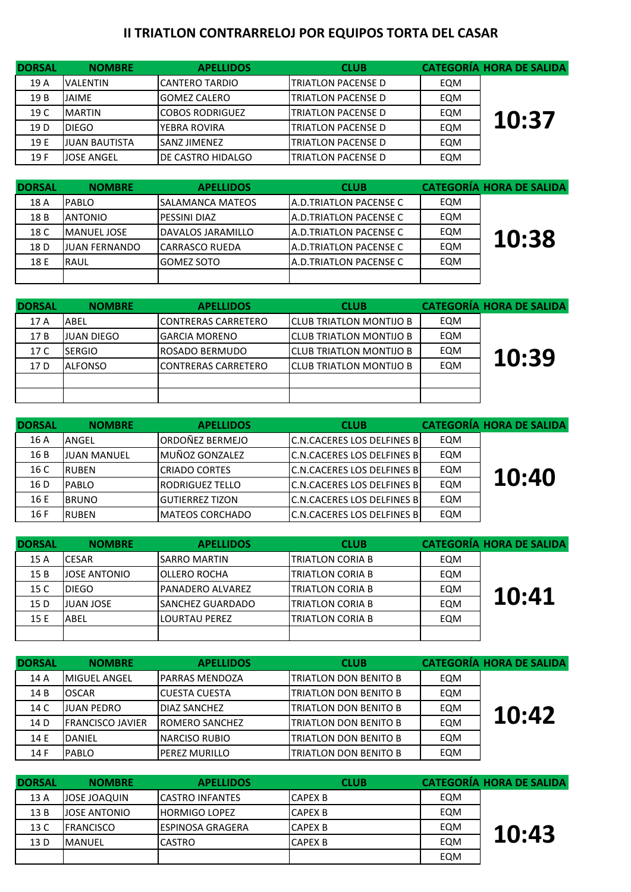## **II TRIATLON CONTRARRELOJ POR EQUIPOS TORTA DEL CASAR**

| <b>DORSAL</b> | <b>NOMBRE</b>        | <b>APELLIDOS</b>          | <b>CLUB</b>                |     | <b>CATEGORÍA HORA DE SALIDA</b> |
|---------------|----------------------|---------------------------|----------------------------|-----|---------------------------------|
| 19 A          | <b>VALENTIN</b>      | <b>CANTERO TARDIO</b>     | <b>ITRIATLON PACENSE D</b> | EQM |                                 |
| 19B           | JAIME                | IGOMEZ CALERO             | <b>ITRIATLON PACENSE D</b> | EQM |                                 |
| 19 C          | <b>MARTIN</b>        | <b>COBOS RODRIGUEZ</b>    | <b>ITRIATLON PACENSE D</b> | EQM | 10:37                           |
| 19 D          | <b>DIEGO</b>         | YEBRA ROVIRA              | <b>ITRIATLON PACENSE D</b> | EQM |                                 |
| 19 E          | <b>JUAN BAUTISTA</b> | <b>SANZ JIMENEZ</b>       | <b>ITRIATLON PACENSE D</b> | EQM |                                 |
| 19 F          | <b>JOSE ANGEL</b>    | <b>IDE CASTRO HIDALGO</b> | <b>ITRIATLON PACENSE D</b> | EQM |                                 |

| <b>DORSAL</b> | <b>NOMBRE</b>        | <b>APELLIDOS</b>    | <b>CLUB</b>             |     | <b>CATEGORÍA HORA DE SALIDA</b> |
|---------------|----------------------|---------------------|-------------------------|-----|---------------------------------|
| 18 A          | <b>IPABLO</b>        | ISALAMANCA MATEOS   | IA.D.TRIATLON PACENSE C | EQM |                                 |
| 18 B          | <b>ANTONIO</b>       | <b>PESSINI DIAZ</b> | IA.D.TRIATLON PACENSE C | EQM |                                 |
| 18 C          | <b>MANUEL JOSE</b>   | DAVALOS JARAMILLO   | IA.D.TRIATLON PACENSE C | EQM |                                 |
| 18 D          | <b>JUAN FERNANDO</b> | ICARRASCO RUEDA     | IA.D.TRIATLON PACENSE C | EQM | 10:38                           |
| 18 E          | RAUL                 | <b>GOMEZ SOTO</b>   | IA.D.TRIATLON PACENSE C | EQM |                                 |
|               |                      |                     |                         |     |                                 |

| <b>DORSAL</b> | <b>NOMBRE</b>     | <b>APELLIDOS</b>            | <b>CLUB</b>                     |     | <b>CATEGORÍA HORA DE SALIDA</b> |
|---------------|-------------------|-----------------------------|---------------------------------|-----|---------------------------------|
| 17 A          | ABEL              | <b>ICONTRERAS CARRETERO</b> | <b>ICLUB TRIATLON MONTIJO B</b> | EQM |                                 |
| 17 B          | <b>JUAN DIEGO</b> | <b>IGARCIA MORENO</b>       | <b>ICLUB TRIATLON MONTIJO B</b> | EQM |                                 |
| 17 C          | <b>SERGIO</b>     | <b>IROSADO BERMUDO</b>      | <b>ICLUB TRIATLON MONTIJO B</b> | EQM | 10:39                           |
| 17 D          | <b>ALFONSO</b>    | <b>ICONTRERAS CARRETERO</b> | <b>ICLUB TRIATLON MONTIJO B</b> | EQM |                                 |
|               |                   |                             |                                 |     |                                 |
|               |                   |                             |                                 |     |                                 |

| <b>DORSAL</b> | <b>NOMBRE</b>      | <b>APELLIDOS</b>        | <b>CLUB</b>                         |     | <b>CATEGORÍA HORA DE SALIDA</b> |
|---------------|--------------------|-------------------------|-------------------------------------|-----|---------------------------------|
| 16 A          | <b>ANGEL</b>       | ORDOÑEZ BERMEJO         | <b>IC.N.CACERES LOS DELFINES BI</b> | EQM |                                 |
| 16 B          | <b>JUAN MANUEL</b> | <b>IMUÑOZ GONZALEZ</b>  | <b>IC.N.CACERES LOS DELFINES BI</b> | EQM |                                 |
| 16 C          | <b>IRUBEN</b>      | ICRIADO CORTES          | C.N.CACERES LOS DELFINES BI         | EQM | 10:40                           |
| 16 D          | <b>IPABLO</b>      | <b>IRODRIGUEZ TELLO</b> | IC.N.CACERES LOS DELFINES BI        | EQM |                                 |
| 16 E          | <b>IBRUNO</b>      | <b>GUTIERREZ TIZON</b>  | C.N.CACERES LOS DELFINES BI         | EQM |                                 |
| 16 F          | <b>IRUBEN</b>      | <b>IMATEOS CORCHADO</b> | IC.N.CACERES LOS DELFINES BI        | EQM |                                 |

| <b>DORSAL</b> | <b>NOMBRE</b>       | <b>APELLIDOS</b>         | <b>CLUB</b>             |     | <b>CATEGORÍA HORA DE SALIDA</b> |
|---------------|---------------------|--------------------------|-------------------------|-----|---------------------------------|
| 15 A          | <b>ICESAR</b>       | <b>SARRO MARTIN</b>      | ITRIATLON CORIA B       | EQM |                                 |
| 15B           | <b>JOSE ANTONIO</b> | <b>IOLLERO ROCHA</b>     | ITRIATLON CORIA B       | EQM |                                 |
| 15 C          | <b>IDIEGO</b>       | <b>IPANADERO ALVAREZ</b> | <b>TRIATLON CORIA B</b> | EQM | 10:41                           |
| 15 D          | <b>JUAN JOSE</b>    | <b>ISANCHEZ GUARDADO</b> | <b>TRIATLON CORIA B</b> | EQM |                                 |
| 15 E          | ABEL                | LOURTAU PEREZ            | ITRIATLON CORIA B       | EQM |                                 |
|               |                     |                          |                         |     |                                 |

| <b>DORSAL</b> | <b>NOMBRE</b>            | <b>APELLIDOS</b>       | <b>CLUB</b>                  |     | <b>CATEGORÍA HORA DE SALIDA</b> |
|---------------|--------------------------|------------------------|------------------------------|-----|---------------------------------|
| 14 A          | <b>IMIGUEL ANGEL</b>     | <b>PARRAS MENDOZA</b>  | <b>TRIATLON DON BENITO B</b> | EQM |                                 |
| 14 B          | <b>OSCAR</b>             | ICUESTA CUESTA         | TRIATLON DON BENITO B        | EQM |                                 |
| 14 C          | <b>JUAN PEDRO</b>        | DIAZ SANCHEZ           | TRIATLON DON BENITO B        | EQM | 10:42                           |
| 14 D          | <b>IFRANCISCO JAVIER</b> | <b>IROMERO SANCHEZ</b> | TRIATLON DON BENITO B        | EQM |                                 |
| 14 E          | <b>DANIEL</b>            | INARCISO RUBIO         | TRIATLON DON BENITO B        | EQM |                                 |
| 14 F          | PABLO                    | PEREZ MURILLO          | TRIATLON DON BENITO B        | EQM |                                 |

| <b>DORSAL</b> | <b>NOMBRE</b>       | <b>APELLIDOS</b>         | <b>CLUB</b>    |     | <b>CATEGORÍA HORA DE SALIDA</b> |
|---------------|---------------------|--------------------------|----------------|-----|---------------------------------|
| 13A           | JOSE JOAQUIN        | <b>CASTRO INFANTES</b>   | <b>CAPEX B</b> | EQM |                                 |
| 13B           | <b>JOSE ANTONIO</b> | <b>IHORMIGO LOPEZ</b>    | <b>CAPEX B</b> | EQM |                                 |
| 13 C          | <b>FRANCISCO</b>    | <b>IESPINOSA GRAGERA</b> | <b>CAPEX B</b> | EQM | 10:43                           |
| 13 D          | <b>MANUEL</b>       | <b>CASTRO</b>            | <b>CAPEX B</b> | EQM |                                 |
|               |                     |                          |                | EQM |                                 |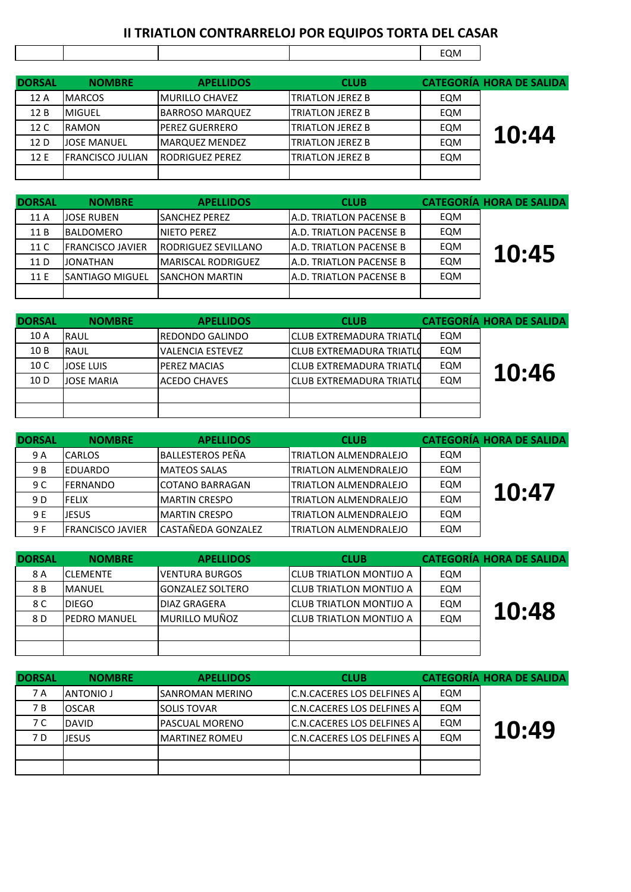## **II TRIATLON CONTRARRELOJ POR EQUIPOS TORTA DEL CASAR 10:43**

|               |                         |                        |                          | EQM |                                 |
|---------------|-------------------------|------------------------|--------------------------|-----|---------------------------------|
| <b>DORSAL</b> | <b>NOMBRE</b>           | <b>APELLIDOS</b>       | <b>CLUB</b>              |     | <b>CATEGORÍA HORA DE SALIDA</b> |
| 12 A          | <b>MARCOS</b>           | <b>MURILLO CHAVEZ</b>  | <b>ITRIATLON JEREZ B</b> | EQM |                                 |
| 12B           | <b>MIGUEL</b>           | <b>BARROSO MARQUEZ</b> | <b>ITRIATLON JEREZ B</b> | EQM |                                 |
| 12 C          | RAMON                   | <b>PEREZ GUERRERO</b>  | <b>ITRIATLON JEREZ B</b> | EQM | 10:44                           |
| 12 D          | <b>JOSE MANUEL</b>      | <b>MARQUEZ MENDEZ</b>  | <b>TRIATLON JEREZ B</b>  | EQM |                                 |
| 12 E          | <b>FRANCISCO JULIAN</b> | <b>RODRIGUEZ PEREZ</b> | <b>ITRIATLON JEREZ B</b> | EQM |                                 |
|               |                         |                        |                          |     |                                 |

 $\mathsf{r}$ 

| <b>DORSAL</b> | <b>NOMBRE</b>           | <b>APELLIDOS</b>           | <b>CLUB</b>                     |     | <b>CATEGORÍA HORA DE SALIDA</b> |
|---------------|-------------------------|----------------------------|---------------------------------|-----|---------------------------------|
| 11 A          | JOSE RUBEN              | <b>SANCHEZ PEREZ</b>       | IA.D. TRIATLON PACENSE B        | EQM |                                 |
| 11 B          | <b>BALDOMERO</b>        | <b>INIETO PEREZ</b>        | <b>JA.D. TRIATLON PACENSE B</b> | EQM |                                 |
| 11 C          | <b>FRANCISCO JAVIER</b> | <b>RODRIGUEZ SEVILLANO</b> | <b>A.D. TRIATLON PACENSE B</b>  | EQM | 10:45                           |
| 11 D          | JONATHAN                | <b>MARISCAL RODRIGUEZ</b>  | <b>JA.D. TRIATLON PACENSE B</b> | EQM |                                 |
| 11 E          | <b>SANTIAGO MIGUEL</b>  | <b>ISANCHON MARTIN</b>     | IA.D. TRIATLON PACENSE B        | EQM |                                 |
|               |                         |                            |                                 |     |                                 |

| <b>DORSAL</b> | <b>NOMBRE</b>     | <b>APELLIDOS</b>        | <b>CLUB</b>                      |     | <b>CATEGORÍA HORA DE SALIDA</b> |
|---------------|-------------------|-------------------------|----------------------------------|-----|---------------------------------|
| 10 A          | <b>RAUL</b>       | IREDONDO GALINDO        | <b>ICLUB EXTREMADURA TRIATLO</b> | EQM |                                 |
| 10B           | <b>RAUL</b>       | <b>VALENCIA ESTEVEZ</b> | <b>ICLUB EXTREMADURA TRIATLO</b> | EQM |                                 |
| 10 C          | <b>JOSE LUIS</b>  | <b>PEREZ MACIAS</b>     | ICLUB EXTREMADURA TRIATLO        | EQM | 10:46                           |
| 10 D          | <b>JOSE MARIA</b> | <b>ACEDO CHAVES</b>     | ICLUB EXTREMADURA TRIATLO        | EQM |                                 |
|               |                   |                         |                                  |     |                                 |
|               |                   |                         |                                  |     |                                 |

| <b>DORSAL</b> | <b>NOMBRE</b>            | <b>APELLIDOS</b>       | <b>CLUB</b>                  |     | <b>CATEGORÍA HORA DE SALIDA</b> |
|---------------|--------------------------|------------------------|------------------------------|-----|---------------------------------|
| 9 A           | <b>CARLOS</b>            | IBALLESTEROS PEÑA      | TRIATLON ALMENDRALEJO        | EQM |                                 |
| 9 B           | <b>IEDUARDO</b>          | <b>MATEOS SALAS</b>    | <b>TRIATLON ALMENDRALEJO</b> | EQM |                                 |
| 9 C           | <b>IFERNANDO</b>         | <b>COTANO BARRAGAN</b> | TRIATLON ALMENDRALEJO        | EQM | 10:47                           |
| 9 D           | <b>FELIX</b>             | <b>IMARTIN CRESPO</b>  | <b>TRIATLON ALMENDRALEJO</b> | EQM |                                 |
| 9 E           | <b>JESUS</b>             | <b>MARTIN CRESPO</b>   | <b>TRIATLON ALMENDRALEJO</b> | EQM |                                 |
| 9 F           | <b>IFRANCISCO JAVIER</b> | CASTAÑEDA GONZALEZ     | <b>TRIATLON ALMENDRALEJO</b> | EQM |                                 |

| <b>DORSAL</b> | <b>NOMBRE</b>        | <b>APELLIDOS</b>       | <b>CLUB</b>                      |     | <b>CATEGORÍA HORA DE SALIDA</b> |
|---------------|----------------------|------------------------|----------------------------------|-----|---------------------------------|
| 8 A           | <b>ICLEMENTE</b>     | <b>IVENTURA BURGOS</b> | <b>ICLUB TRIATLON MONTIJO A</b>  | EQM |                                 |
| 8 B           | <b>MANUEL</b>        | IGONZALEZ SOLTERO      | <b>ICLUB TRIATLON MONTIJO A</b>  | EQM |                                 |
| 8 C           | IDIEGO.              | <b>DIAZ GRAGERA</b>    | <b>I</b> CLUB TRIATLON MONTIJO A | EQM | 10:48                           |
| 8 D           | <b>IPEDRO MANUEL</b> | <b>MURILLO MUÑOZ</b>   | <b>I</b> CLUB TRIATLON MONTIJO A | EQM |                                 |
|               |                      |                        |                                  |     |                                 |
|               |                      |                        |                                  |     |                                 |

| <b>DORSAL</b> | <b>NOMBRE</b>    | <b>APELLIDOS</b>       | <b>CLUB</b>                         |     | <b>CATEGORÍA HORA DE SALIDA</b> |
|---------------|------------------|------------------------|-------------------------------------|-----|---------------------------------|
| 7 A           | <b>ANTONIO J</b> | ISANROMAN MERINO       | <b>C.N.CACERES LOS DELFINES A</b>   | EQM |                                 |
| 7 B           | <b>OSCAR</b>     | <b>SOLIS TOVAR</b>     | IC.N.CACERES LOS DELFINES Al        | EQM |                                 |
| 7 C           | <b>DAVID</b>     | IPASCUAL MORENO        | <b>C.N.CACERES LOS DELFINES AL</b>  | EQM |                                 |
| 7 D           | ljesus.          | <b>IMARTINEZ ROMEU</b> | <b>IC.N.CACERES LOS DELFINES AI</b> | EQM | 10:49                           |
|               |                  |                        |                                     |     |                                 |
|               |                  |                        |                                     |     |                                 |